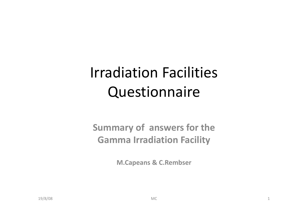# Irradiation Facilities Questionnaire

### **Summary of answers for the Gamma Irradiation Facility**

**M.Capeans & C.Rembser**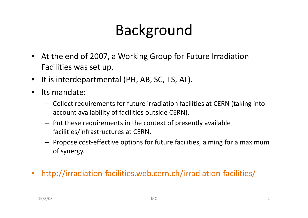# Background

- At the end of 2007, a Working Group for Future Irradiation Facilities was set up.
- It is interdepartmental (PH, AB, SC, TS, AT).
- • Its mandate:
	- Collect requirements for future irradiation facilities at CERN (taking into account availability of facilities outside CERN).
	- Put these requirements in the context of presently available facilities/infrastructures at CERN.
	- Propose cost-effective options for future facilities, aiming for a maximum of synergy.
- http://irradiation-facilities.web.cern.ch/irradiation-facilities/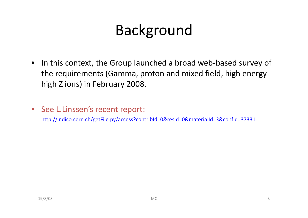# Background

- In this context, the Group launched a broad web-based survey of the requirements (Gamma, proton and mixed field, high energy high Z ions) in February 2008.
- See L.Linssen's recent report:

http://indico.cern.ch/getFile.py/access?contribId=0&resId=0&materialId=3&confId=37331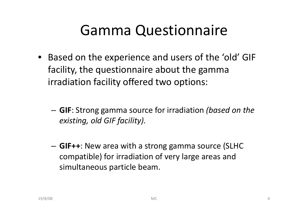# **Gamma Questionnaire**

- Based on the experience and users of the 'old' GIF facility, the questionnaire about the gamma irradiation facility offered two options:
	- **GIF**: Strong gamma source for irradiation *(based on the existing, old GIF facility).*
	- – **GIF++**: New area with a strong gamma source (SLHC compatible) for irradiation of very large areas and simultaneous particle beam.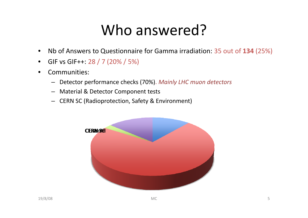# Who answered?

- $\bullet$ Nb of Answers to Questionnaire for Gamma irradiation: 35 out of **134** (25%)
- • $\bullet$  GIF vs GIF++: 28 / 7 (20% / 5%)
- • Communities:
	- –Detector performance checks (70%). *Mainly LHC muon detectors*
	- Material & Detector Component tests
	- CERN SC (Radioprotection, Safety & Environment)

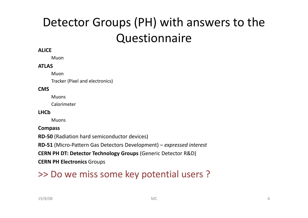## Detector Groups (PH) with answers to the Questionnaire

### **ALICE**

Muon

### **ATLAS**

Muon

Tracker (Pixel and electronics)

#### **CMS**

Muons

Calorimeter

#### **LHCb**

**Muons** 

#### **Compass**

**RD-50** (Radiation hard semiconductor devices)

**RD-51** (Micro-Pattern Gas Detectors Development) *– expressed interest*

**CERN PH DT: Detector Technology Groups** (Generic Detector R&D)

**CERN PH Electronics** Groups

### >> Do we miss some key potential users ?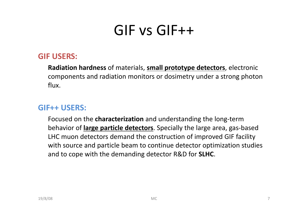# GIF vs GIF GIF++

### **GIF USERS:**

**Radiation hardness** of materials, **small prototype detectors**, electronic components and radiation monitors or dosimetry under a strong photon flux.

#### **GIF++ USERS:**\_\_\_\_\_\_\_\_\_\_

Focused on the **characterization** and understanding the long-term behavior of **large particle detectors**. Specially the large area, gas-based LHC muon detectors demand the construction of improved GIF facility with source and particle beam to continue detector optimization studies and to cope with the demanding detector R&D for **SLHC**.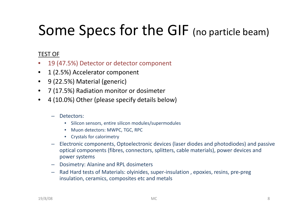# Some Specs for the GIF (no particle beam)

### TEST OF

- •19 (47.5%) Detector or detector component
- $\bullet$ 1 (2.5%) Accelerator component
- $\bullet$ 9 (22.5%) Material (generic)
- $\bullet$ 7 (17.5%) Radiation monitor or dosimeter
- $\bullet$  4 (10.0%) Other (please specify details below)
	- Detectors:
		- $\bullet$ Silicon sensors, entire silicon modules/supermodules
		- Muon detectors: MWPC, TGC, RPC
		- Crystals for calorimetry
	- Electronic components, Optoelectronic devices (laser diodes and photodiodes) and passive optical components (fibres, connectors, splitters, cable materials), power devices and power systems
	- Dosimetry: Alanine and RPL dosimeters
	- Rad Hard tests of Materials: olyinides, super-insulation , epoxies, resins, pre-preg insulation, ceramics, composites etc and metals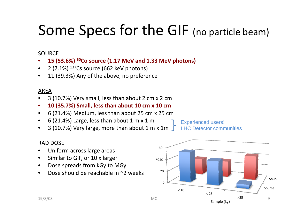# Some Specs for the GIF (no particle beam)

### SOURCE

- 15 (53.6%) <sup>60</sup>Co source (1.17 MeV and 1.33 MeV photons) •
- •2 (7.1%)  $^{137}$ Cs source (662 keV photons)
- •11 (39.3%) Any of the above, no preference

### AREA

- •3 (10.7%) Very small, less than about 2 cm x 2 cm
- $\bullet$ **10 (35.7%) Small, less than about 10 cm x 10 cm**
- $\bullet$ 6 (21.4%) Medium, less than about 25 cm x 25 cm
- •6 (21.4%) Large, less than about  $1 \text{ m} \times 1 \text{ m}$
- •3 (10.7%) Very large, more than about 1 m x 1m  $\sqrt{\phantom{a}}$

Experienced users! LHC Detector communities

### RAD DOSE

- $\bullet$ Uniform across large areas
- •• Similar to GIF, or 10 x larger
- $\bullet$ Dose spreads from kGy to MGy
- •Dose should be reachable in ~2 weeks

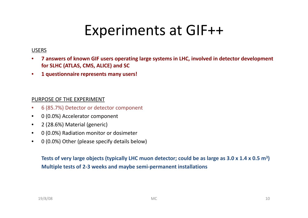## Experiments at GIF++

### USERS

- $\bullet$ 7 answers of known GIF users operating large systems in LHC, involved in detector development **for SLHC (ATLAS, CMS, ALICE) and SC**
- •**1 questionnaire represents many users!**

### PURPOSE OF THE EXPERIMENT

- •6 (85 7%) Detector or detector component (85.7%)
- •0 (0.0%) Accelerator component
- $\bullet$ 2 (28.6%) Material (generic)
- •0 (0.0%) Radiation monitor or dosimeter
- $\bullet$ 0 (0.0%) Other (please specify details below)

Tests of very large objects (typically LHC muon detector; could be as large as 3.0 x 1.4 x 0.5 m<sup>3</sup>) **Multiple tests of 2-3 weeks and maybe semi-permanent installations**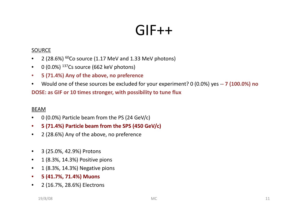## GIF++

### SOURCE

- 2 (28.6%) <sup>60</sup>Co source (1.17 MeV and 1.33 MeV photons)
- $\bullet$  0 (0.0%)  $^{137}$ Cs source (662 keV photons)
- •**5 (71.4%) Any of the above, no preference**
- $\bullet$ Would one of these sources be excluded for your experiment? 0 (0 0%) yes (0.0%) yes-**- 7 (100 0%) no (100.0%)**

**DOSE: as GIF or 10 times stronger, with possibility to tune flux**

### BEAM

- •0 (0.0%) Particle beam from the PS (24 GeV/c)
- •**5 (71.4%) Particle beam from the SPS (450 GeV/c)**
- •2 (28.6%) Any of the above, no preference
- $\bullet$ 3 (25.0%, 42.9%) Protons
- $1$  (8.3%, 14.3%) Positive pions
- 1 (8.3%, 14.3%) Negative pions
- •**5 (41.7%, 71.4%) Muons**
- $\bullet$ 2 (16.7%, 28.6%) Electrons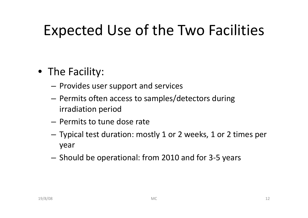# Expected Use of the Two Facilities

## • The Facility:

- $-$  Provides user support and services
- Permits often access to samples/detectors during irradiation period
- Permits to tune dose rate
- $-$  Typical test duration: mostly 1 or 2 weeks, 1 or 2 times per year
- $-$  Should be operational: from 2010 and for 3-5 years